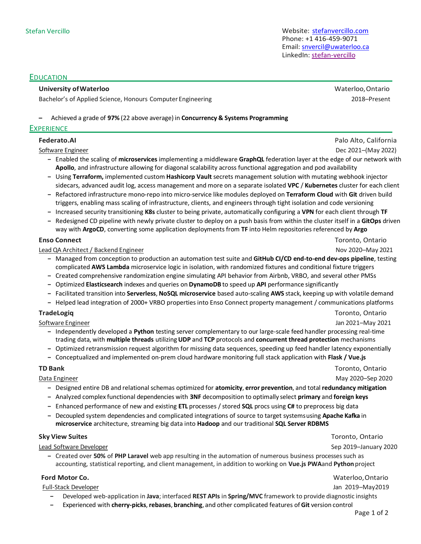Stefan Vercillo Website: [stefanvercillo.com](https://stefanvercillo.com/) Phone: +1 416-459-9071 Email[: snvercil@uwaterloo.ca](mailto:snvercil@uwaterloo.ca) LinkedIn: [stefan-vercillo](https://www.linkedin.com/in/stefan-vercillo)

### EDUCATION

### **University ofWaterloo** Waterloo,Ontario

Bachelor's of Applied Science, Honours Computer Engineering 2018–2018–Present

#### **–** Achieved a grade of **97%** (22 above average) in **Concurrency & Systems Programming**

#### **EXPERIENCE**

### **Federato.AI** Palo Alto, California

Software Engineer Dec 2021–(May 2022)

- **–** Enabled the scaling of **microservices** implementing a middleware **GraphQL** federation layer at the edge of our network with **Apollo**, and infrastructure allowing for diagonal scalability across functional aggregation and pod availability
- **–** Using **Terraform,** implemented custom **Hashicorp Vault** secrets management solution with mutating webhook injector sidecars, advanced audit log, access management and more on a separate isolated **VPC** / **Kubernetes** cluster for each client
- **–** Refactored infrastructure mono-repo into micro-service like modules deployed on **Terraform Cloud** with **Git** driven build triggers, enabling mass scaling of infrastructure, clients, and engineers through tight isolation and code versioning
- **–** Increased security transitioning **K8s** cluster to being private, automatically configuring a **VPN** for each client through **TF**
- **–** Redesigned CD pipeline with newly private cluster to deploy on a push basis from within the cluster itself in a **GitOps** driven way with **ArgoCD**, converting some application deployments from **TF** into Helm repositories referenced by **Argo**

#### Lead QA Architect / Backend Engineer Nov 2020 and Security 1999 and Security 2021 and Nov 2020 and Nov 2021

- **–** Managed from conception to production an automation test suite and **GitHub CI/CD end-to-end dev-ops pipeline**, testing complicated **AWS Lambda** microservice logic in isolation, with randomized fixtures and conditional fixture triggers
- **–** Created comprehensive randomization engine simulating API behavior from Airbnb, VRBO, and several other PMSs
- **–** Optimized **Elasticsearch** indexes and queries on **DynamoDB** to speed up **API** performance significantly
- **–** Facilitated transition into **Serverless**, **NoSQL microservice** based auto-scaling **AWS** stack, keeping up with volatile demand
- **–** Helped lead integration of 2000+ VRBO properties into Enso Connect property management / communications platforms

### **TradeLogiq** Toronto, Ontario

Software Engineer Jan 2021–May 2021

- **–** Independently developed a **Python** testing server complementary to our large-scale feed handler processing real-time trading data, with **multiple threads** utilizing**UDP** and **TCP** protocols and **concurrent thread protection** mechanisms
- **–** Optimized retransmission request algorithm for missing data sequences, speeding up feed handler latency exponentially
- **–** Conceptualized and implemented on-prem cloud hardware monitoring full stack application with **Flask / Vue.js**

**TD Bank** Toronto, Ontario Data Engineer May 2020–Sep 2020

- **–** Designed entire DB and relational schemas optimized for **atomicity**, **error prevention**, and total **redundancy mitigation**
- **–** Analyzed complex functional dependencies with **3NF** decomposition to optimally select **primary** and **foreign keys**
- **–** Enhanced performance of new and existing **ETL** processes / stored **SQL** procs using **C#** to preprocess big data
- **–** Decoupled system dependencies and complicated integrations of source to target systemsusing **Apache Kafka** in **microservice** architecture, streaming big data into **Hadoop** and our traditional **SQL Server RDBMS**

Lead Software Developer Sep 2019–January 2020

**Sky View Suites** Toronto, Ontario

**–** Created over **50%** of **PHP Laravel** web app resulting in the automation of numerous business processes such as accounting, statistical reporting, and client management, in addition to working on **Vue.js PWA**and **Python**project

### **Ford Motor Co.** Waterloo,Ontario

Full-Stack Developer Jan 2019–May2019

- **–** Developed web-application in **Java**; interfaced **REST APIs** in **Spring/MVC** framework to provide diagnostic insights
- **–** Experienced with **cherry-picks**, **rebases**, **branching**, and other complicated features of **Git** version control

**Enso Connect** Toronto, Ontario